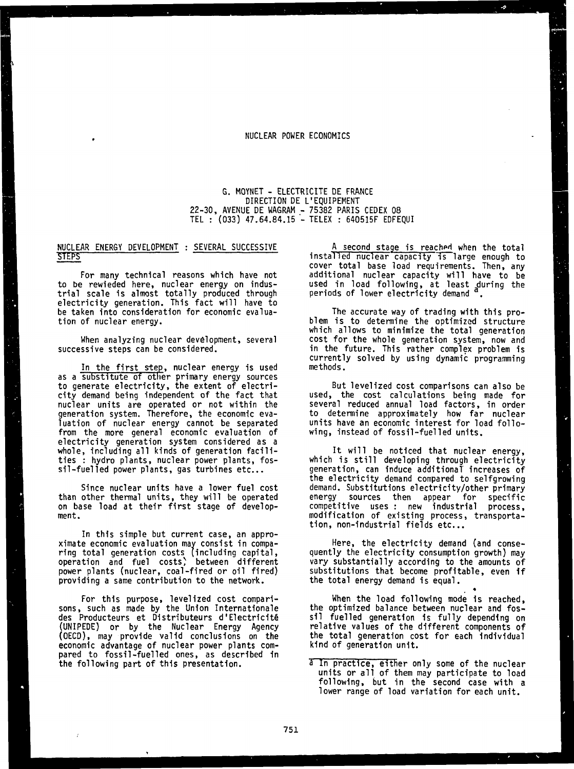#### **NUCLEAR POWER ECONOMICS**

**G. MOYNET - ELECTRICITE DE FRANCE DIRECTION DE L'EQUIPEMENT 22-30, AVENUE DE WAGRAM - 75382 PARIS CEDEX 08 TEL : (033) 47.64.84.15 - TELEX : 640515F EDFEQUI**

### **NUCLEAR ENERGY DEVELOPMENT : SEVERAL SUCCESSIVE STEPS**

**For many technical reasons which have not to be rewieded here, nuclear energy on industrial scale is almost totally produced through electricity generation. This fact will have to be taken into consideration for economic evaluation of nuclear energy.**

**When analyzing nuclear development, several successive steps can be considered.**

In the first step, nuclear energy is used **as a substitute of other primary energy sources to generate electricity, the extent of electricity demand being independent of the fact that nuclear units are operated or not within the generation system. Therefore, the economic evaluation of nuclear energy cannot be separated from the more general economic evaluation of electricity generation system considered as a whole, including all kinds of generation facilities : hydro plants, nuclear power plants, fossil-fuelled power plants, gas turbines etc...**

**Since nuclear units have a lower fuel cost than other thermal units, they will be operated on base load at their first stage of development.**

**In this simple but current case, an approximate economic evaluation may consist in comparing total generation costs (including capital, operation and fuel costs) between different power plants (nuclear, coal-fired or oil fired) providing a same contribution to the network.**

**For this purpose, levelized cost comparisons, such as made by the Union Internationale des Producteurs et Distributeurs d'Electr1c1t§ (UNIPEDE) or by the Nuclear Energy Agency (OECD), may provide valid conclusions on the economic advantage of nuclear power plants compared to fossil-fuelled ones, as described in the following part of this presentation.**

**A second stage is reachpd when the total installed nuclear capacity is large enough to cover total base load requirements. Then, any additional nuclear capacity will have to be used in load following, at least during the periods of lower electricity demand .**

**The accurate way of trading with this problem is to determine the optimized structure which allows to minimize the total generation cost for the whole generation system, now and in the future. This rather complex problem is currently solved by using dynamic programming methods.**

**But levelized cost comparisons can also be used, the cost calculations being made for several reduced annual load factors, in order to determine approximately how far nuclear units have an economic interest for load following, instead of fossil-fuelled units.**

**It will be noticed that nuclear energy, which is still developing through electricity generation, can induce additional increases of the electricity demand compared to selfgrowing demand. Substitutions electricity/other primary energy sources then appear for specific competitive uses : new industrial process, modification of existing process, transportation, non-industrial fields etc...**

**Here, the electricity demand (and consequently the electricity consumption growth) may vary substantially according to the amounts of substitutions that become profitable, even if the total energy demand is equal.**

**When the load following mode 1s reached, the optimized balance between nuclear and fossil fuelled generation 1s fully depending on relative values of the different components of the total generation cost for each individual kind of generation unit.**

**a In practice, either only some of the nuclear units or all of them may participate to load following, but in the second case with a lower range of load variation for each unit.**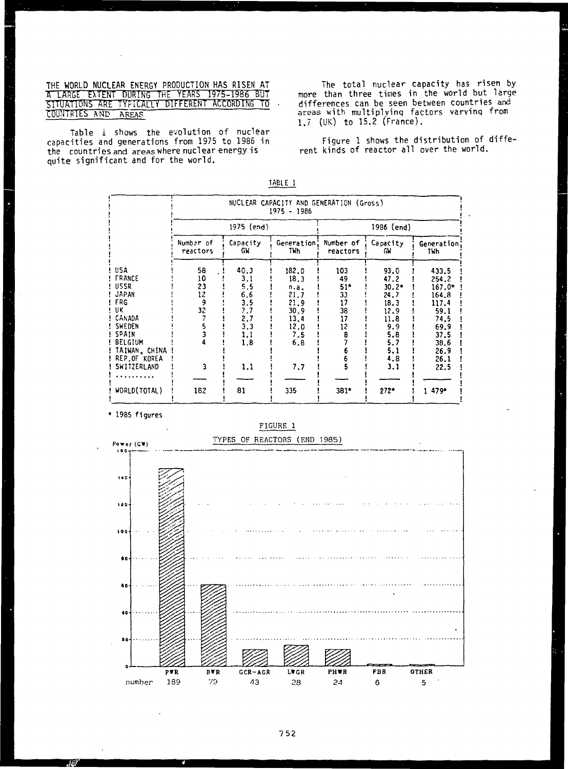THE WORLD NUCLEAR ENERGY PRODUCTION HAS RISEN AT A LARGE EXTENT DURING THE YEARS 1975–1986 BUT SITUATIONS ARE TYPICALLY DIFFERENT ACCORDING TO COUNTRIES AND AREAS

Table i shows the evolution of nuclear capacities and generations from 1975 to 1986 in the countriesand areas where nuclear energy is quite significant and for the world.

The total nuclear capacity has risen by more than three times in the world but large differences can be seen between countries and areas with multiplying factors varying from 1.7 (UK) to 15.2 (France).

Figure 1 shows the distribution of different kinds of reactor all over the world.

|                                                                                                                                                   | NUCLEAR CAPACITY AND GENERATION (Gross)<br>1975 - 1986 |                                                                            |                                                                                    |                                                |                                                                                                   |                                                                                                              |  |
|---------------------------------------------------------------------------------------------------------------------------------------------------|--------------------------------------------------------|----------------------------------------------------------------------------|------------------------------------------------------------------------------------|------------------------------------------------|---------------------------------------------------------------------------------------------------|--------------------------------------------------------------------------------------------------------------|--|
|                                                                                                                                                   | 1975 (end)                                             |                                                                            |                                                                                    | 1986 (end)                                     |                                                                                                   |                                                                                                              |  |
|                                                                                                                                                   | Number of<br>reactors                                  | Capacity<br>GW                                                             | Generation:<br>TWh                                                                 | Number of<br>reactors                          | Capacity<br>GW.                                                                                   | Generation<br>TWh                                                                                            |  |
| USA<br>! FRANCE<br>! USSR<br>! JAPAN<br>! FRG<br>! UK<br>! CANADA<br>SWEDEN<br>SPAIN<br>! BELGIUM<br>TAIWAN, CHINA<br>REP.OF KOREA<br>SWITZERLAND | 58<br>10<br>23<br>12<br>9<br>32                        | 40.3<br>3.1<br>5.5<br>6.6<br>3.5<br>7.7<br>2,7<br>3.3<br>1.1<br>1.8<br>1,1 | 182.0<br>18.3<br>n.a.<br>21.7<br>21.9<br>30.9<br>13.4<br>12.0<br>7.5<br>6,8<br>7.7 | 103<br>49<br>51*<br>33<br>17<br>38<br>17<br>12 | 93.0<br>47.2<br>$30.2*$<br>24.7<br>18.3<br>12.9<br>11.8<br>9.9<br>5.8<br>5.7<br>5.1<br>4.8<br>3.1 | 433.5<br>254.2<br>$167.0*$<br>164.8<br>117.4<br>59.1<br>74.5<br>69.9<br>37.5<br>38.6<br>26.9<br>26.1<br>22.5 |  |
| .<br>WORLD(TOTAL)                                                                                                                                 | 182                                                    | 81                                                                         | 335                                                                                | $381*$                                         | $272+$                                                                                            | 1479*                                                                                                        |  |

**TABLE 1**

**1985 figures**

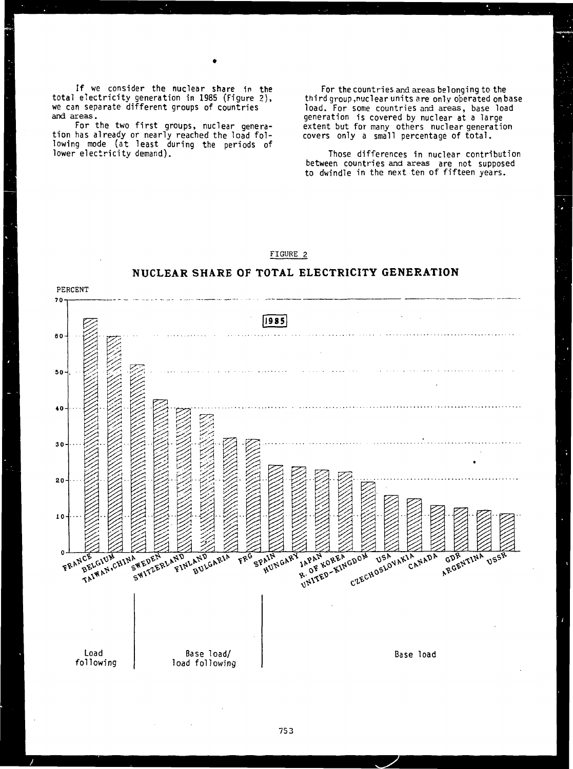If we consider the nuclear share in the total electricity generation in 1985 (Figure 2), we can separate different groups of countries and areas.

For the two first groups, nuclear generation has already or nearly reached the load following mode (at least during the periods of lower electricity demand).

For the countries and areas belonging to the third group,nuclear units are only operated on base load. For some countries and areas, base load generation is covered by nuclear at a large extent but for many others nuclear generation covers only a small percentage of total.

Those differences in nuclear contribution between countries and areas are not supposed to dwindle in the next ten of fifteen years.



# 753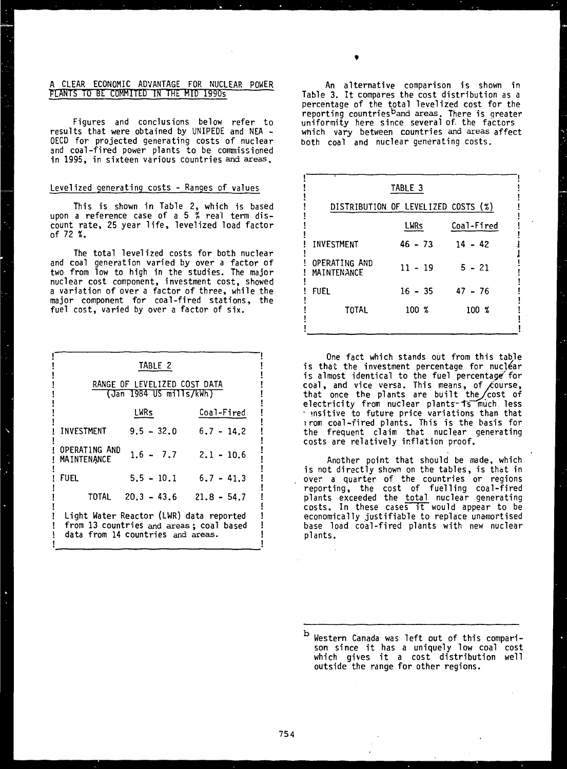## **A CLEAR ECONOMIC ADVANTAGE FOR NUCLEAR POWER FLANTS TO BE COMMITED IN THE MID 1990s**

**Figures and conclusions below refer to results that were obtained by UNIPEDE and NEA - OECD for projected generating costs of nuclear and coal-fired power plants to be commissioned in 1995, in sixteen various countries and areas.**

## **Levelized generating costs - Ranges of values**

**This is shown in Table 2, which is based upon a reference case of a 5 { real term discount rate, 25 year life, levelized load factor of 72 %.**

**The total levelized costs for both nuclear and coal generation varied by over a factor of two from low to high in the studies. The major nuclear cost component, investment cost, showed a variation of over a factor of three, while the major component for coal-fired stations, the fuel cost, varied by over a factor of six.**

| TABLE 2<br>RANGE OF LEVELIZED COST DATA                                                                                 |                                   |                          |  |  |  |  |
|-------------------------------------------------------------------------------------------------------------------------|-----------------------------------|--------------------------|--|--|--|--|
| (Jan 1984 US mills/kWh)                                                                                                 |                                   |                          |  |  |  |  |
|                                                                                                                         | Coal-Fired                        |                          |  |  |  |  |
| INVESTMENT                                                                                                              | $9.5 - 32.0$                      | $6.7 - 14.2$             |  |  |  |  |
| OPERATING AND<br><b>MAINTENANCE</b>                                                                                     |                                   | $1.6 - 7.7$ $2.1 - 10.6$ |  |  |  |  |
| <b>FUEL</b>                                                                                                             | $5.5 - 10.1$                      | $6.7 - 41.3$             |  |  |  |  |
|                                                                                                                         | TOTAL $20.3 - 43.6$ $21.8 - 54.7$ |                          |  |  |  |  |
| Light Water Reactor (LWR) data reported<br>from 13 countries and areas; coal based<br>data from 14 countries and areas. |                                   |                          |  |  |  |  |

**An alternative comparison is shown in Table 3. It compares the cost distribution as a percentage of the total levelized cost for the reporting countries<sup>b</sup>and areas. There is greater uniformity here since several of. the factors which vary between countries and areas affect both coal and nuclear generating costs.**

| TABLE 3                             |             |            |  |  |  |  |
|-------------------------------------|-------------|------------|--|--|--|--|
| DISTRIBUTION OF LEVELIZED COSTS (%) |             |            |  |  |  |  |
|                                     | <b>LWRs</b> | Coal-Fired |  |  |  |  |
| INVESTMENT                          | $46 - 73$   | $14 - 42$  |  |  |  |  |
| OPERATING AND<br>MAINTENANCE        | $11 - 19$   | $5 - 21$   |  |  |  |  |
| FUEL                                | $16 - 35$   | $47 - 76$  |  |  |  |  |
| TOTAL                               | $100 \t{x}$ | 100 %      |  |  |  |  |

**One fact which stands out from this table is that the investment percentage for nuclear is almost identical to the fuel percentage"'for coal, and vice versa. This means, of/course, that once the plants are built the/cost of** electricity from nuclear plants-is much less **' »nsitive to future price variations than that irom coal-fired plants. This is the basis for the frequent claim that nuclear generating costs are relatively inflation proof.**

**Another point that should be made, which is not directly shown on the tables, is that in over a quarter of the countries or regions reporting, the cost of fuelling coal-fired plants exceeded the total nuclear generating costs. In these cases it would appear to be economically justifiable to replace unamortised base load coal-fired plants with new nuclear plants.**

b **Western Canada was left out of this comparison since it has a uniquely low coal cost which gives it a cost distribution well outside the range for other regions.**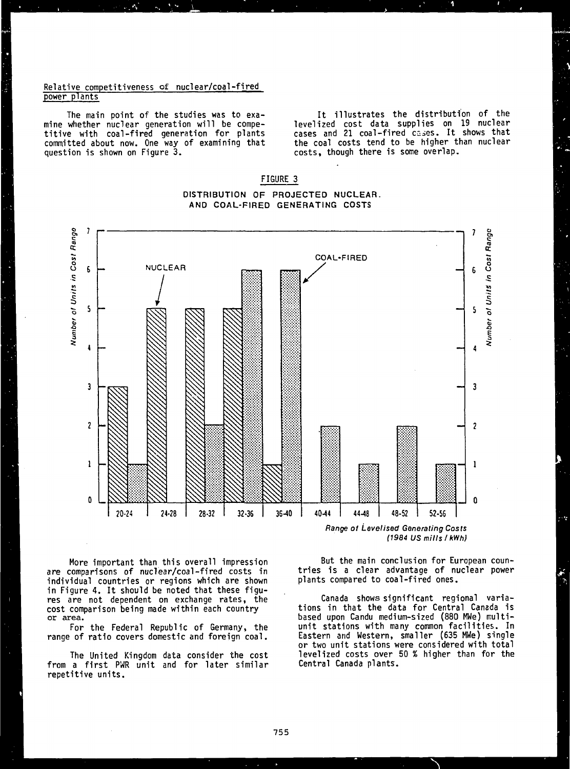### **Relative competitiveness of nuclear/coal-fired power plants**

**The main point of the studies was to examine whether nuclear generation will be competitive with coal-fired generation for plants committed about now. One way of examining that question is shown on Figure 3.**

**It illustrates the distribution of the levelized cost data supplies on 19 nuclear cases and 21 coal-fired c^es. It shows that the coal costs tend to be higher than nuclear costs, though there is some overlap.**



**DISTRIBUTION OF PROJECTED NUCLEAR. AND COAL-FIRED GENERATING COSTS**

**FIGURE 3**

**Range of Levelised Generating Costs (1984 US mills /kWh)**

**More important than this overall impression are comparisons of nuclear/coal-fired costs in individual countries or regions which are shown in Figure 4. It should be noted that these figures are not dependent on exchange rates, the cost comparison being made within each country or area.**

**For the Federal Republic of Germany, the range of ratio covers domestic and foreign coal.**

**The United Kingdom data consider the cost from a first PWR unit and for later similar repetitive units.**

**But the main conclusion for European countries is a clear advantage of nuclear power plants compared to coal-fired ones.**

**Canada shows significant regional variations in that the data for Central Canada is based upon Candu medium-sized (880 MWe) multiunit stations with many common facilities. In Eastern and Western, smaller (635 MWe) single or two unit stations were considered with total levelized costs over 50 % higher than for the Central Canada plants.**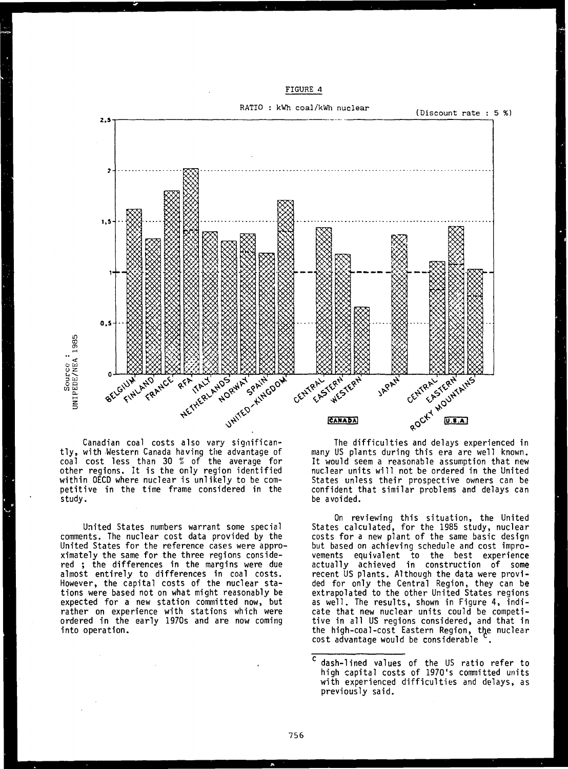



**Canadian coal costs also vary significantly, with Western Canada having the advantage of coal cost less than 30 % of the average for other regions. It is the only region identified within OECD where nuclear is unlikely to be competitive in the time frame considered in the study.**

**United States numbers warrant some special comments. The nuclear cost data provided by the United States for the reference cases were approximately the same for the three regions considered ; the differences in the margins were due almost entirely to differences in coal costs. However, the capital costs of the nuclear stations were based not on what might reasonably be expected for a new station committed now, but rather on experience with stations which were ordered in the early 1970s and are now coming into operation.**

**many US plants during this era are well known. It would seem a reasonable assumption that new nuclear units will not be ordered in the United States unless their prospective owners can be confident that similar problems and delays can be avoided.**

**On reviewing this situation, the United States calculated, for the 1985 study, nuclear costs for a new plant of the same basic design but based on achieving schedule and cost improvements equivalent to the best experience actually achieved in construction of some recent US plants. Although the data were provided for only the Central Region, they can be extrapolated to the other United States regions as well. The results, shown in Figure 4, indicate that new nuclear units could be competitive in all US regions considered, and that in the high-coal-cost Eastern Region, the nuclear cost advantage would be considerable .**

c **dash-lined values of the US ratio refer to high capital costs of 1970's committed units with experienced difficulties and delays, as previously said.**